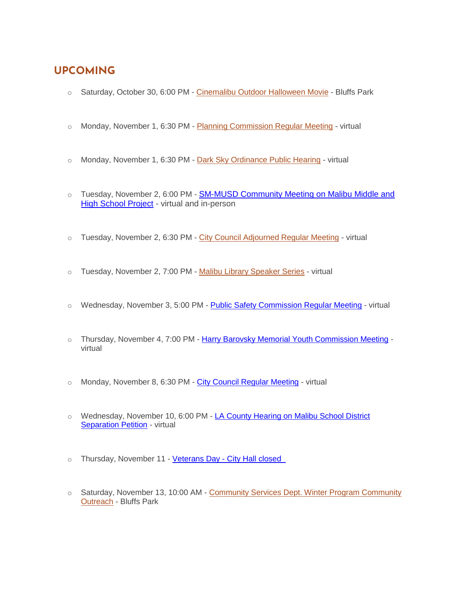# **UPCOMING**

- o Saturday, October 30, 6:00 PM [Cinemalibu Outdoor Halloween Movie](https://www.malibucity.org/Calendar.aspx?EID=6019) Bluffs Park
- o Monday, November 1, 6:30 PM [Planning Commission Regular Meeting](https://www.malibucity.org/Calendar.aspx?EID=5497&month=11&year=2021&day=1&calType=0) virtual
- $\circ$  Monday, November 1, 6:30 PM [Dark Sky Ordinance Public Hearing](https://malibucity.org/DocumentCenter/View/28739/November-1-2021-Planning-Commission-Hearing) virtual
- o Tuesday, November 2, 6:00 PM [SM-MUSD Community Meeting on Malibu Middle and](https://www.smmusd.org/cms/lib/CA50000164/Centricity/domain/2939/2021-22/MMHS_DEIR-1021.pdf)  [High School Project](https://www.smmusd.org/cms/lib/CA50000164/Centricity/domain/2939/2021-22/MMHS_DEIR-1021.pdf) - virtual and in-person
- $\circ$  Tuesday, November 2, 6:30 PM [City Council Adjourned Regular Meeting](https://www.malibucity.org/Calendar.aspx?EID=6224&month=11&year=2021&day=2&calType=0) virtual
- o Tuesday, November 2, 7:00 PM [Malibu Library Speaker Series](https://malibucity.org/722/Malibu-Library-Speaker-Series) virtual
- o Wednesday, November 3, 5:00 PM [Public Safety Commission Regular Meeting](https://www.malibucity.org/Calendar.aspx?EID=5566&month=11&year=2021&day=3&calType=0) virtual
- o Thursday, November 4, 7:00 PM [Harry Barovsky Memorial Youth Commission Meeting](https://www.malibucity.org/Calendar.aspx?EID=5709&month=11&year=2021&day=4&calType=0) virtual
- o Monday, November 8, 6:30 PM [City Council Regular Meeting](https://www.malibucity.org/Calendar.aspx?EID=5605&month=11&year=2021&day=8&calType=0) virtual
- o Wednesday, November 10, 6:00 PM LA County Hearing on Malibu School District **[Separation Petition](https://www.malibucity.org/musd) - virtual**
- o Thursday, November 11 Veterans Day City Hall closed
- o Saturday, November 13, 10:00 AM [Community Services Dept. Winter Program Community](https://www.malibucity.org/Calendar.aspx?EID=6107&month=11&year=2021&day=13&calType=0)  [Outreach](https://www.malibucity.org/Calendar.aspx?EID=6107&month=11&year=2021&day=13&calType=0) - Bluffs Park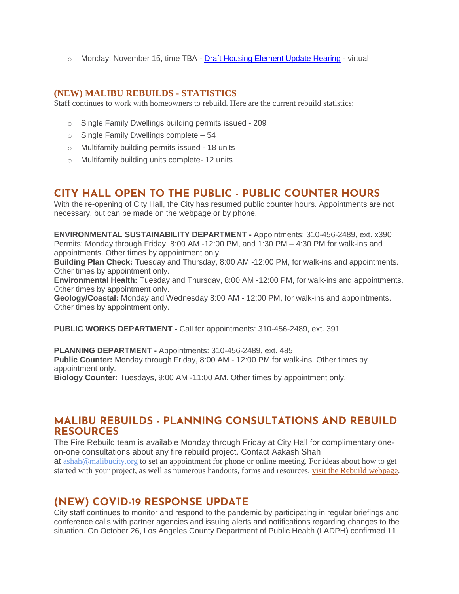o Monday, November 15, time TBA - [Draft Housing Element Update Hearing](https://www.malibucity.org/DocumentCenter/View/28805/PHN_GPA-for-Housing-Element) - virtual

#### **(NEW) MALIBU REBUILDS - STATISTICS**

Staff continues to work with homeowners to rebuild. Here are the current rebuild statistics:

- o Single Family Dwellings building permits issued 209
- $\circ$  Single Family Dwellings complete 54
- o Multifamily building permits issued 18 units
- o Multifamily building units complete- 12 units

# **CITY HALL OPEN TO THE PUBLIC - PUBLIC COUNTER HOURS**

With the re-opening of City Hall, the City has resumed public counter hours. Appointments are not necessary, but can be made [on the webpage](https://www.malibucity.org/appointments) or by phone.

**ENVIRONMENTAL SUSTAINABILITY DEPARTMENT -** Appointments: 310-456-2489, ext. x390 Permits: Monday through Friday, 8:00 AM -12:00 PM, and 1:30 PM – 4:30 PM for walk-ins and appointments. Other times by appointment only.

**Building Plan Check:** Tuesday and Thursday, 8:00 AM -12:00 PM, for walk-ins and appointments. Other times by appointment only.

**Environmental Health:** Tuesday and Thursday, 8:00 AM -12:00 PM, for walk-ins and appointments. Other times by appointment only.

**Geology/Coastal:** Monday and Wednesday 8:00 AM - 12:00 PM, for walk-ins and appointments. Other times by appointment only.

**PUBLIC WORKS DEPARTMENT -** Call for appointments: 310-456-2489, ext. 391

**PLANNING DEPARTMENT -** Appointments: 310-456-2489, ext. 485 **Public Counter:** Monday through Friday, 8:00 AM - 12:00 PM for walk-ins. Other times by appointment only. **Biology Counter:** Tuesdays, 9:00 AM -11:00 AM. Other times by appointment only.

#### **MALIBU REBUILDS - PLANNING CONSULTATIONS AND REBUILD RESOURCES**

The Fire Rebuild team is available Monday through Friday at City Hall for complimentary oneon-one consultations about any fire rebuild project. Contact Aakash Shah at [ashah@malibucity.org](mailto:ashah@malibucity.org) to set an appointment for phone or online meeting. For ideas about how to get started with your project, as well as numerous handouts, forms and resources, visit the Rebuild [webpage.](https://www.malibucity.org/901/Malibu-Rebuilds)

## **(NEW) COVID-19 RESPONSE UPDATE**

City staff continues to monitor and respond to the pandemic by participating in regular briefings and conference calls with partner agencies and issuing alerts and notifications regarding changes to the situation. On October 26, Los Angeles County Department of Public Health (LADPH) confirmed 11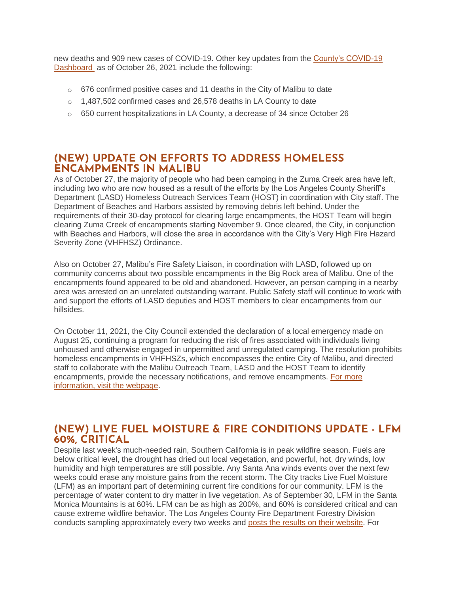new deaths and 909 new cases of COVID-19. Other key updates from the [County's COVID-19](http://publichealth.lacounty.gov/media/coronavirus/data/index.htm)  [Dashboard](http://publichealth.lacounty.gov/media/coronavirus/data/index.htm) as of October 26, 2021 include the following:

- $\circ$  676 confirmed positive cases and 11 deaths in the City of Malibu to date
- $\circ$  1,487,502 confirmed cases and 26,578 deaths in LA County to date
- $\circ$  650 current hospitalizations in LA County, a decrease of 34 since October 26

### **(NEW) UPDATE ON EFFORTS TO ADDRESS HOMELESS ENCAMPMENTS IN MALIBU**

As of October 27, the majority of people who had been camping in the Zuma Creek area have left, including two who are now housed as a result of the efforts by the Los Angeles County Sheriff's Department (LASD) Homeless Outreach Services Team (HOST) in coordination with City staff. The Department of Beaches and Harbors assisted by removing debris left behind. Under the requirements of their 30-day protocol for clearing large encampments, the HOST Team will begin clearing Zuma Creek of encampments starting November 9. Once cleared, the City, in conjunction with Beaches and Harbors, will close the area in accordance with the City's Very High Fire Hazard Severity Zone (VHFHSZ) Ordinance.

Also on October 27, Malibu's Fire Safety Liaison, in coordination with LASD, followed up on community concerns about two possible encampments in the Big Rock area of Malibu. One of the encampments found appeared to be old and abandoned. However, an person camping in a nearby area was arrested on an unrelated outstanding warrant. Public Safety staff will continue to work with and support the efforts of LASD deputies and HOST members to clear encampments from our hillsides.

On October 11, 2021, the City Council extended the declaration of a local emergency made on August 25, continuing a program for reducing the risk of fires associated with individuals living unhoused and otherwise engaged in unpermitted and unregulated camping. The resolution prohibits homeless encampments in VHFHSZs, which encompasses the entire City of Malibu, and directed staff to collaborate with the Malibu Outreach Team, LASD and the HOST Team to identify encampments, provide the necessary notifications, and remove encampments. [For more](http://www.malibucity.org/homelessness)  [information, visit the webpage.](http://www.malibucity.org/homelessness)

### **(NEW) LIVE FUEL MOISTURE & FIRE CONDITIONS UPDATE - LFM 60%, CRITICAL**

Despite last week's much-needed rain, Southern California is in peak wildfire season. Fuels are below critical level, the drought has dried out local vegetation, and powerful, hot, dry winds, low humidity and high temperatures are still possible. Any Santa Ana winds events over the next few weeks could erase any moisture gains from the recent storm. The City tracks Live Fuel Moisture (LFM) as an important part of determining current fire conditions for our community. LFM is the percentage of water content to dry matter in live vegetation. As of September 30, LFM in the Santa Monica Mountains is at 60%. LFM can be as high as 200%, and 60% is considered critical and can cause extreme wildfire behavior. The Los Angeles County Fire Department Forestry Division conducts sampling approximately every two weeks and [posts the results on their website.](https://fire.lacounty.gov/fire-weather-danger) For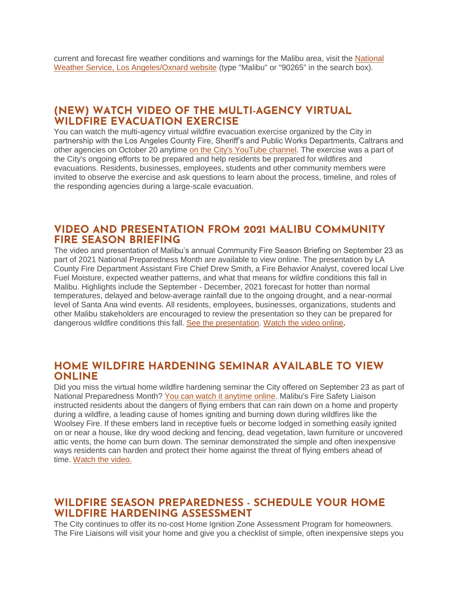current and forecast fire weather conditions and warnings for the Malibu area, visit the National [Weather Service, Los Angeles/Oxnard website](https://www.weather.gov/lox/) (type "Malibu" or "90265" in the search box).

#### **(NEW) WATCH VIDEO OF THE MULTI-AGENCY VIRTUAL WILDFIRE EVACUATION EXERCISE**

You can watch the multi-agency virtual wildfire evacuation exercise organized by the City in partnership with the Los Angeles County Fire, Sheriff's and Public Works Departments, Caltrans and other agencies on October 20 anytime [on the City's YouTube channel.](https://www.youtube.com/watch?v=fgf0YH3uc58&t=1110s) The exercise was a part of the City's ongoing efforts to be prepared and help residents be prepared for wildfires and evacuations. Residents, businesses, employees, students and other community members were invited to observe the exercise and ask questions to learn about the process, timeline, and roles of the responding agencies during a large-scale evacuation.

#### **VIDEO AND PRESENTATION FROM 2021 MALIBU COMMUNITY FIRE SEASON BRIEFING**

The video and presentation of Malibu's annual Community Fire Season Briefing on September 23 as part of 2021 National Preparedness Month are available to view online. The presentation by LA County Fire Department Assistant Fire Chief Drew Smith, a Fire Behavior Analyst, covered local Live Fuel Moisture, expected weather patterns, and what that means for wildfire conditions this fall in Malibu. Highlights include the September - December, 2021 forecast for hotter than normal temperatures, delayed and below-average rainfall due to the ongoing drought, and a near-normal level of Santa Ana wind events. All residents, employees, businesses, organizations, students and other Malibu stakeholders are encouraged to review the presentation so they can be prepared for dangerous wildfire conditions this fall. [See the presentation.](https://www.malibucity.org/DocumentCenter/View/28679/2021_Community_Wildfire_Briefing_ChiefSmith) [Watch the video online](https://www.youtube.com/watch?v=pVOgituwP0Q)**.**

### **HOME WILDFIRE HARDENING SEMINAR AVAILABLE TO VIEW ONLINE**

Did you miss the virtual home wildfire hardening seminar the City offered on September 23 as part of National Preparedness Month? [You can watch it anytime online.](https://www.youtube.com/watch?v=vft8JoeJckY) Malibu's Fire Safety Liaison instructed residents about the dangers of flying embers that can rain down on a home and property during a wildfire, a leading cause of homes igniting and burning down during wildfires like the Woolsey Fire. If these embers land in receptive fuels or become lodged in something easily ignited on or near a house, like dry wood decking and fencing, dead vegetation, lawn furniture or uncovered attic vents, the home can burn down. The seminar demonstrated the simple and often inexpensive ways residents can harden and protect their home against the threat of flying embers ahead of time. [Watch the video.](https://www.youtube.com/watch?v=vft8JoeJckY)

## **WILDFIRE SEASON PREPAREDNESS - SCHEDULE YOUR HOME WILDFIRE HARDENING ASSESSMENT**

The City continues to offer its no-cost Home Ignition Zone Assessment Program for homeowners. The Fire Liaisons will visit your home and give you a checklist of simple, often inexpensive steps you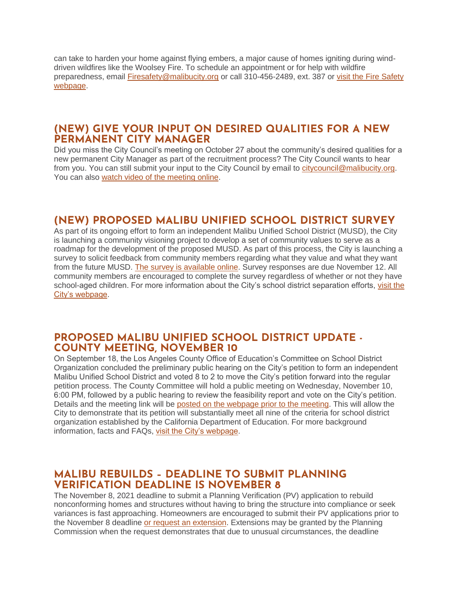can take to harden your home against flying embers, a major cause of homes igniting during winddriven wildfires like the Woolsey Fire. To schedule an appointment or for help with wildfire preparedness, email [Firesafety@malibucity.org](mailto:Firesafety@malibucity.org) or call 310-456-2489, ext. 387 or [visit the Fire Safety](https://www.malibucity.org/952/Fire-Safety)  [webpage.](https://www.malibucity.org/952/Fire-Safety)

## **(NEW) GIVE YOUR INPUT ON DESIRED QUALITIES FOR A NEW PERMANENT CITY MANAGER**

Did you miss the City Council's meeting on October 27 about the community's desired qualities for a new permanent City Manager as part of the recruitment process? The City Council wants to hear from you. You can still submit your input to the City Council by email to [citycouncil@malibucity.org.](mailto:citycouncil@malibucity.org) You can also [watch video of the meeting online.](http://www.youtube.com/user/CityofMalibu/videos)

# **(NEW) PROPOSED MALIBU UNIFIED SCHOOL DISTRICT SURVEY**

As part of its ongoing effort to form an independent Malibu Unified School District (MUSD), the City is launching a community visioning project to develop a set of community values to serve as a roadmap for the development of the proposed MUSD. As part of this process, the City is launching a survey to solicit feedback from community members regarding what they value and what they want from the future MUSD. The survey [is available online.](http://www.malibucity.org/MUSDSurvey) Survey responses are due November 12. All community members are encouraged to complete the survey regardless of whether or not they have school-aged children. For more information about the City's school district separation efforts, [visit the](https://www.malibucity.org/musd)  [City's webpage.](https://www.malibucity.org/musd)

## **PROPOSED MALIBU UNIFIED SCHOOL DISTRICT UPDATE - COUNTY MEETING, NOVEMBER 10**

On September 18, the Los Angeles County Office of Education's Committee on School District Organization concluded the preliminary public hearing on the City's petition to form an independent Malibu Unified School District and voted 8 to 2 to move the City's petition forward into the regular petition process. The County Committee will hold a public meeting on Wednesday, November 10, 6:00 PM, followed by a public hearing to review the feasibility report and vote on the City's petition. Details and the meeting link will be [posted on the webpage prior to the meeting.](https://www.malibucity.org/musd) This will allow the City to demonstrate that its petition will substantially meet all nine of the criteria for school district organization established by the California Department of Education. For more background information, facts and FAQs, [visit the City's webpage.](https://www.malibucity.org/musd)

## **MALIBU REBUILDS – DEADLINE TO SUBMIT PLANNING VERIFICATION DEADLINE IS NOVEMBER 8**

The November 8, 2021 deadline to submit a Planning Verification (PV) application to rebuild nonconforming homes and structures without having to bring the structure into compliance or seek variances is fast approaching. Homeowners are encouraged to submit their PV applications prior to the November 8 deadline [or request an extension.](https://www.malibucity.org/DocumentCenter/View/27084/PLN-WF-Time-Extension-Request) Extensions may be granted by the Planning Commission when the request demonstrates that due to unusual circumstances, the deadline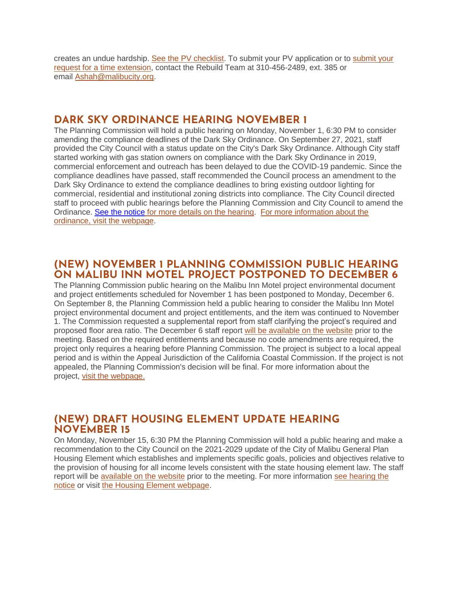creates an undue hardship. [See the PV checklist.](https://www.malibucity.org/DocumentCenter/View/23370/Planning-Verification-Submittal-Checklist) To submit your PV application or to [submit your](https://www.malibucity.org/DocumentCenter/View/27084/PLN-WF-Time-Extension-Request)  [request for a time extension,](https://www.malibucity.org/DocumentCenter/View/27084/PLN-WF-Time-Extension-Request) contact the Rebuild Team at 310-456-2489, ext. 385 or email [Ashah@malibucity.org.](mailto:Ashah@malibucity.org)

# **DARK SKY ORDINANCE HEARING NOVEMBER 1**

The Planning Commission will hold a public hearing on Monday, November 1, 6:30 PM to consider amending the compliance deadlines of the Dark Sky Ordinance. On September 27, 2021, staff provided the City Council with a status update on the City's Dark Sky Ordinance. Although City staff started working with gas station owners on compliance with the Dark Sky Ordinance in 2019, commercial enforcement and outreach has been delayed to due the COVID-19 pandemic. Since the compliance deadlines have passed, staff recommended the Council process an amendment to the Dark Sky Ordinance to extend the compliance deadlines to bring existing outdoor lighting for commercial, residential and institutional zoning districts into compliance. The City Council directed staff to proceed with public hearings before the Planning Commission and City Council to amend the Ordinance. [See the notice](https://malibucity.org/DocumentCenter/View/28739/November-1-2021-Planning-Commission-Hearing) [for more details on the hearing.](https://malibucity.org/DocumentCenter/View/28739/November-1-2021-Planning-Commission-Hearing) [For more information about the](https://www.malibucity.org/darksky)  [ordinance, visit the webpage.](https://www.malibucity.org/darksky)

## **(NEW) NOVEMBER 1 PLANNING COMMISSION PUBLIC HEARING ON MALIBU INN MOTEL PROJECT POSTPONED TO DECEMBER 6**

The Planning Commission public hearing on the Malibu Inn Motel project environmental document and project entitlements scheduled for November 1 has been postponed to Monday, December 6. On September 8, the Planning Commission held a public hearing to consider the Malibu Inn Motel project environmental document and project entitlements, and the item was continued to November 1. The Commission requested a supplemental report from staff clarifying the project's required and proposed floor area ratio. The December 6 staff report [will be available on the website](https://www.malibucity.org/agendacenter) prior to the meeting. Based on the required entitlements and because no code amendments are required, the project only requires a hearing before Planning Commission. The project is subject to a local appeal period and is within the Appeal Jurisdiction of the California Coastal Commission. If the project is not appealed, the Planning Commission's decision will be final. For more information about the project, [visit the webpage.](https://www.malibucity.org/810/Malibu-Inn-Motel)

## **(NEW) DRAFT HOUSING ELEMENT UPDATE HEARING NOVEMBER 15**

On Monday, November 15, 6:30 PM the Planning Commission will hold a public hearing and make a recommendation to the City Council on the 2021-2029 update of the City of Malibu General Plan Housing Element which establishes and implements specific goals, policies and objectives relative to the provision of housing for all income levels consistent with the state housing element law. The staff report will be [available on the](https://www.malibucity.org/agendacenter) website prior to the meeting. For more information [see hearing the](https://www.malibucity.org/DocumentCenter/View/28805/PHN_GPA-for-Housing-Element)  [notice](https://www.malibucity.org/DocumentCenter/View/28805/PHN_GPA-for-Housing-Element) or visit [the Housing Element webpage.](https://www.malibucity.org/housingelement)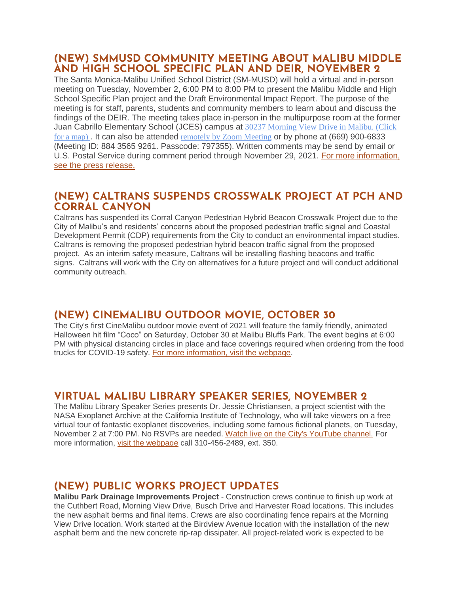## **(NEW) SMMUSD COMMUNITY MEETING ABOUT MALIBU MIDDLE AND HIGH SCHOOL SPECIFIC PLAN AND DEIR, NOVEMBER 2**

The Santa Monica-Malibu Unified School District (SM-MUSD) will hold a virtual and in-person meeting on Tuesday, November 2, 6:00 PM to 8:00 PM to present the Malibu Middle and High School Specific Plan project and the Draft Environmental Impact Report. The purpose of the meeting is for staff, parents, students and community members to learn about and discuss the findings of the DEIR. The meeting takes place in-person in the multipurpose room at the former Juan Cabrillo Elementary School (JCES) campus at 30237 [Morning](https://goo.gl/maps/Zc7E6zVWc15FBNNw5) View Drive in Malibu. (Click for a [map\)](https://goo.gl/maps/Zc7E6zVWc15FBNNw5) . It can also be attended [remotely](https://bit.ly/3B0B8hi) by Zoom Meeting or by phone at (669) 900-6833 (Meeting ID: 884 3565 9261. Passcode: 797355). Written comments may be send by email or U.S. Postal Service during comment period through November 29, 2021. [For more information,](https://www.smmusd.org/cms/lib/CA50000164/Centricity/domain/2939/2021-22/MMHS_DEIR-1021.pdf)  [see the press release.](https://www.smmusd.org/cms/lib/CA50000164/Centricity/domain/2939/2021-22/MMHS_DEIR-1021.pdf) 

## **(NEW) CALTRANS SUSPENDS CROSSWALK PROJECT AT PCH AND CORRAL CANYON**

Caltrans has suspended its Corral Canyon Pedestrian Hybrid Beacon Crosswalk Project due to the City of Malibu's and residents' concerns about the proposed pedestrian traffic signal and Coastal Development Permit (CDP) requirements from the City to conduct an environmental impact studies. Caltrans is removing the proposed pedestrian hybrid beacon traffic signal from the proposed project. As an interim safety measure, Caltrans will be installing flashing beacons and traffic signs. Caltrans will work with the City on alternatives for a future project and will conduct additional community outreach.

# **(NEW) CINEMALIBU OUTDOOR MOVIE, OCTOBER 30**

The City's first CineMalibu outdoor movie event of 2021 will feature the family friendly, animated Halloween hit film "Coco" on Saturday, October 30 at Malibu Bluffs Park. The event begins at 6:00 PM with physical distancing circles in place and face coverings required when ordering from the food trucks for COVID-19 safety. [For more information, visit the webpage.](https://www.malibucity.org/Calendar.aspx?EID=6019)

# **VIRTUAL MALIBU LIBRARY SPEAKER SERIES, NOVEMBER 2**

The Malibu Library Speaker Series presents Dr. Jessie Christiansen, a project scientist with the NASA Exoplanet Archive at the California Institute of Technology, who will take viewers on a free virtual tour of fantastic exoplanet discoveries, including some famous fictional planets, on Tuesday, November 2 at 7:00 PM. No RSVPs are needed. [Watch live on the City's YouTube channel.](https://www.youtube.com/user/CityofMalibu/videos) For more information, [visit the webpage](https://malibucity.org/722/Malibu-Library-Speaker-Series) call 310-456-2489, ext. 350.

# **(NEW) PUBLIC WORKS PROJECT UPDATES**

**Malibu Park Drainage Improvements Project** - Construction crews continue to finish up work at the Cuthbert Road, Morning View Drive, Busch Drive and Harvester Road locations. This includes the new asphalt berms and final items. Crews are also coordinating fence repairs at the Morning View Drive location. Work started at the Birdview Avenue location with the installation of the new asphalt berm and the new concrete rip-rap dissipater. All project-related work is expected to be